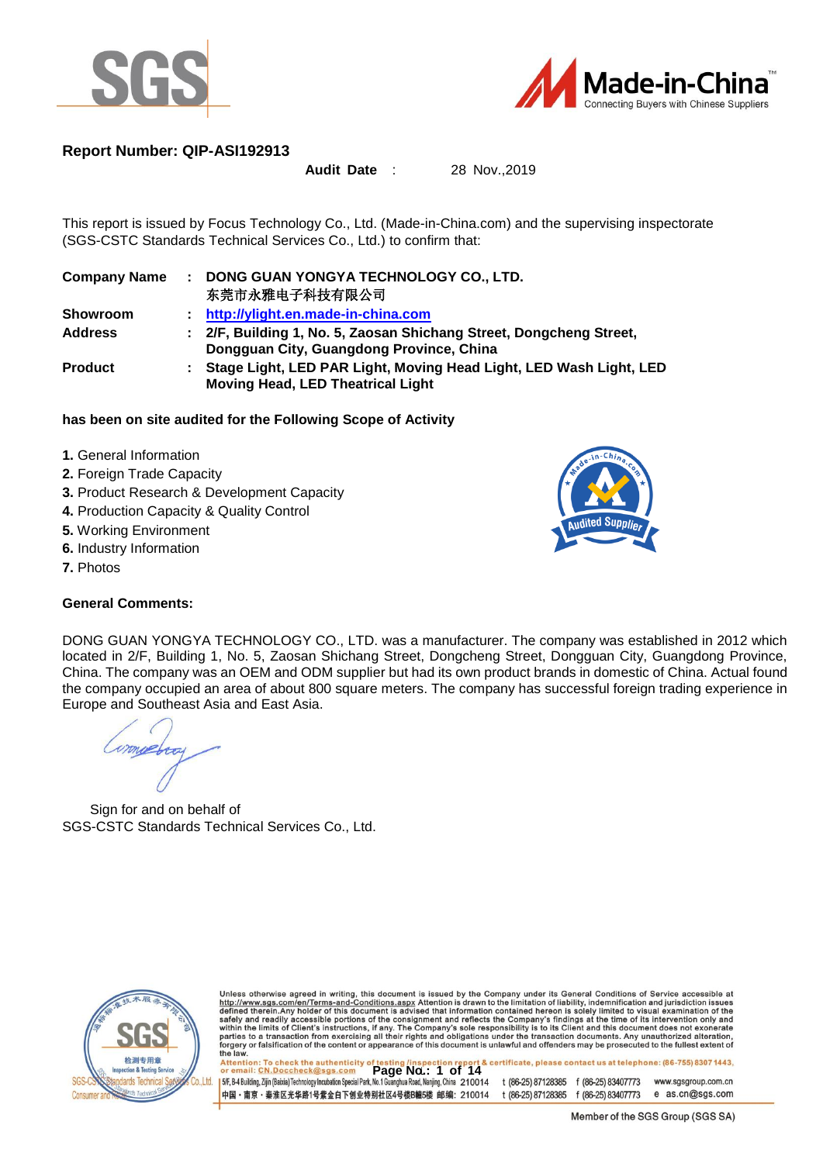



### **Report Number: QIP-ASI192913**

### **Audit Date** : 28 Nov.,2019

This report is issued by Focus Technology Co., Ltd. (Made-in-China.com) and the supervising inspectorate (SGS-CSTC Standards Technical Services Co., Ltd.) to confirm that:

| <b>Company Name</b> | : DONG GUAN YONGYA TECHNOLOGY CO., LTD.<br>东莞市永雅电子科技有限公司                                                         |
|---------------------|------------------------------------------------------------------------------------------------------------------|
| Showroom            | http://ylight.en.made-in-china.com                                                                               |
| <b>Address</b>      | : 2/F, Building 1, No. 5, Zaosan Shichang Street, Dongcheng Street,<br>Dongguan City, Guangdong Province, China  |
| <b>Product</b>      | : Stage Light, LED PAR Light, Moving Head Light, LED Wash Light, LED<br><b>Moving Head, LED Theatrical Light</b> |

### **has been on site audited for the Following Scope of Activity**

- **1.** General Information
- **2.** Foreign Trade Capacity
- **3.** Product Research & Development Capacity
- **4.** Production Capacity & Quality Control
- **5.** Working Environment
- **6.** Industry Information
- **7.** Photos

### **General Comments:**



DONG GUAN YONGYA TECHNOLOGY CO., LTD. was a manufacturer. The company was established in 2012 which located in 2/F, Building 1, No. 5, Zaosan Shichang Street, Dongcheng Street, Dongguan City, Guangdong Province, China. The company was an OEM and ODM supplier but had its own product brands in domestic of China. Actual found the company occupied an area of about 800 square meters. The company has successful foreign trading experience in Europe and Southeast Asia and East Asia.

ime

Sign for and on behalf of SGS-CSTC Standards Technical Services Co., Ltd.



Unless otherwise agreed in writing, this document is issued by the Company under its General Conditions of Service accessible at http://www.sgs.com/en/Terms-and-Conditions.aspx Attention is drawn to the limitation of liabi

t (86-25) 87128385 f (86-25) 83407773 www.sgsgroup.com.cn 中国・南京・秦淮区光华路1号紫金白下创业特别社区4号楼B幢5楼 邮编: 210014 e as.cn@sgs.com t (86-25) 87128385 f (86-25) 83407773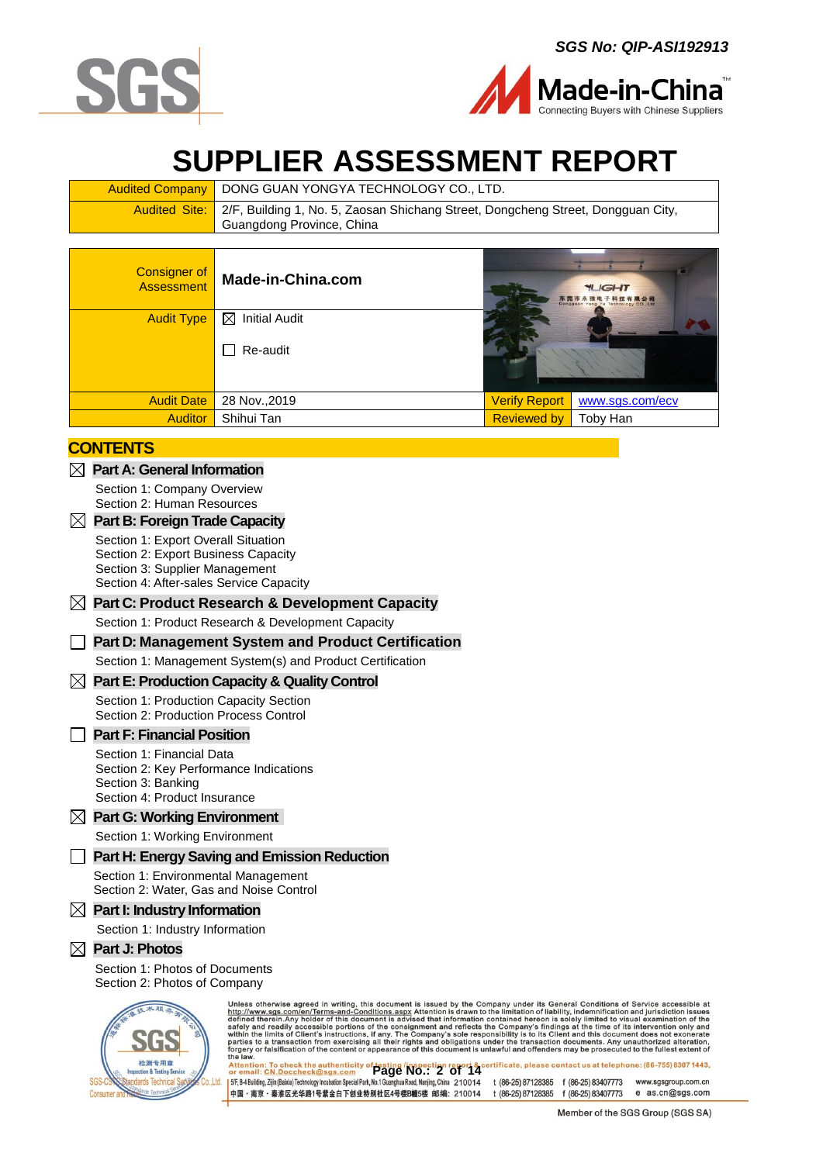



# **SUPPLIER ASSESSMENT REPORT**

| Audited Company   DONG GUAN YONGYA TECHNOLOGY CO., LTD.                                                                     |
|-----------------------------------------------------------------------------------------------------------------------------|
| Audited Site: 2/F, Building 1, No. 5, Zaosan Shichang Street, Dongcheng Street, Dongguan City,<br>Guangdong Province, China |
|                                                                                                                             |

| <b>Consigner of</b><br><b>Assessment</b> | Made-in-China.com         |                      | <b>YLIGHT</b><br>东莞市永雅电子科技有限公司<br>Dongguan Yong Ya Technology CO., Ltd |
|------------------------------------------|---------------------------|----------------------|------------------------------------------------------------------------|
| <b>Audit Type</b>                        | ⊠<br><b>Initial Audit</b> |                      |                                                                        |
|                                          | Re-audit                  |                      |                                                                        |
| <b>Audit Date</b>                        | 28 Nov., 2019             | <b>Verify Report</b> | www.sgs.com/ecv                                                        |
| <b>Auditor</b>                           | Shihui Tan                | <b>Reviewed by</b>   | Toby Han                                                               |

### **CONTENTS**

|             | $\boxtimes$ Part A: General Information                                                                                                                                                                                                                                                                    |
|-------------|------------------------------------------------------------------------------------------------------------------------------------------------------------------------------------------------------------------------------------------------------------------------------------------------------------|
|             | Section 1: Company Overview<br>Section 2: Human Resources                                                                                                                                                                                                                                                  |
| $\boxtimes$ | <b>Part B: Foreign Trade Capacity</b>                                                                                                                                                                                                                                                                      |
|             | Section 1: Export Overall Situation<br>Section 2: Export Business Capacity<br>Section 3: Supplier Management<br>Section 4: After-sales Service Capacity                                                                                                                                                    |
| $\boxtimes$ | <b>Part C: Product Research &amp; Development Capacity</b>                                                                                                                                                                                                                                                 |
|             | Section 1: Product Research & Development Capacity                                                                                                                                                                                                                                                         |
|             | Part D: Management System and Product Certification                                                                                                                                                                                                                                                        |
|             | Section 1: Management System(s) and Product Certification                                                                                                                                                                                                                                                  |
| $\boxtimes$ | <b>Part E: Production Capacity &amp; Quality Control</b>                                                                                                                                                                                                                                                   |
|             | Section 1: Production Capacity Section<br>Section 2: Production Process Control                                                                                                                                                                                                                            |
|             | <b>Part F: Financial Position</b>                                                                                                                                                                                                                                                                          |
|             | Section 1: Financial Data<br>Section 2: Key Performance Indications<br>Section 3: Banking<br>Section 4: Product Insurance                                                                                                                                                                                  |
| $\boxtimes$ | <b>Part G: Working Environment</b>                                                                                                                                                                                                                                                                         |
|             | Section 1: Working Environment                                                                                                                                                                                                                                                                             |
|             | <b>Part H: Energy Saving and Emission Reduction</b>                                                                                                                                                                                                                                                        |
|             | Section 1: Environmental Management<br>Section 2: Water, Gas and Noise Control                                                                                                                                                                                                                             |
| $\boxtimes$ | Part I: Industry Information                                                                                                                                                                                                                                                                               |
|             | Section 1: Industry Information                                                                                                                                                                                                                                                                            |
| $\boxtimes$ | Part J: Photos                                                                                                                                                                                                                                                                                             |
|             | Section 1: Photos of Documents<br>Section 2: Photos of Company                                                                                                                                                                                                                                             |
|             | Unless otherwise agreed in writing, this document is issued by the Company under its Gene<br>● 海技术服<br>http://www.sgs.com/en/Terms-and-Conditions.aspx Attention is drawn to the limitation of liabilit<br>defined therein. Any holder of this document is advised that information contained hereon is so |



Unless otherwise agreed in writing, this document is issued by the Company under its General Conditions of Service accessible at <u>http://www.sgs.com/en/Terms-and-Conditions.aspx</u> Attention is drawn to the limitation of lia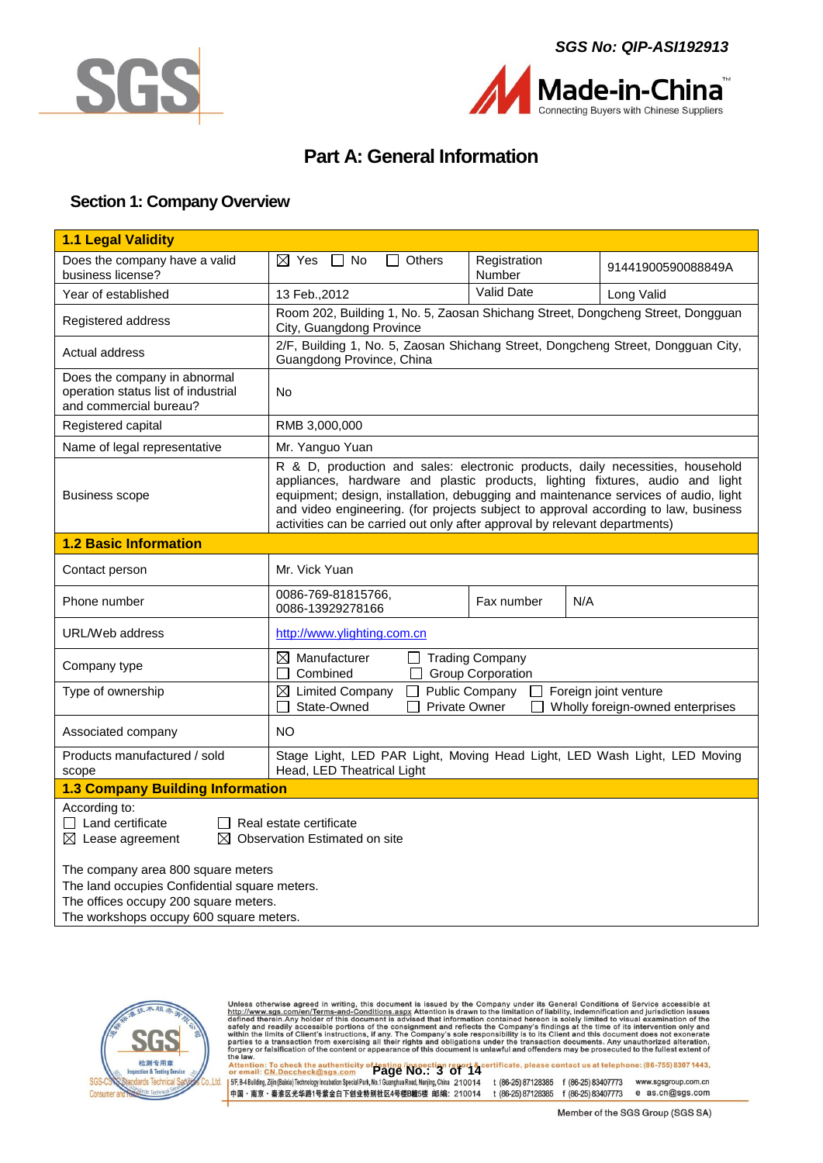



Made-in-China ting Buyers with Chinese Suppliers

### **Part A: General Information**

### <span id="page-2-1"></span><span id="page-2-0"></span>**Section 1: Company Overview**

| 1.1 Legal Validity                                                                                                                                                      |                                                                                                                                                                                                                                                                                                                                                                                                                             |                        |                    |  |  |  |  |
|-------------------------------------------------------------------------------------------------------------------------------------------------------------------------|-----------------------------------------------------------------------------------------------------------------------------------------------------------------------------------------------------------------------------------------------------------------------------------------------------------------------------------------------------------------------------------------------------------------------------|------------------------|--------------------|--|--|--|--|
| Does the company have a valid<br>business license?                                                                                                                      | $\boxtimes$ Yes $\Box$ No<br>$\Box$ Others                                                                                                                                                                                                                                                                                                                                                                                  | Registration<br>Number | 91441900590088849A |  |  |  |  |
| Year of established                                                                                                                                                     | 13 Feb., 2012                                                                                                                                                                                                                                                                                                                                                                                                               | Valid Date             | Long Valid         |  |  |  |  |
| Registered address                                                                                                                                                      | Room 202, Building 1, No. 5, Zaosan Shichang Street, Dongcheng Street, Dongguan<br>City, Guangdong Province                                                                                                                                                                                                                                                                                                                 |                        |                    |  |  |  |  |
| Actual address                                                                                                                                                          | 2/F, Building 1, No. 5, Zaosan Shichang Street, Dongcheng Street, Dongguan City,<br>Guangdong Province, China                                                                                                                                                                                                                                                                                                               |                        |                    |  |  |  |  |
| Does the company in abnormal<br>operation status list of industrial<br>and commercial bureau?                                                                           | No                                                                                                                                                                                                                                                                                                                                                                                                                          |                        |                    |  |  |  |  |
| Registered capital                                                                                                                                                      | RMB 3,000,000                                                                                                                                                                                                                                                                                                                                                                                                               |                        |                    |  |  |  |  |
| Name of legal representative                                                                                                                                            | Mr. Yanguo Yuan                                                                                                                                                                                                                                                                                                                                                                                                             |                        |                    |  |  |  |  |
| <b>Business scope</b>                                                                                                                                                   | R & D, production and sales: electronic products, daily necessities, household<br>appliances, hardware and plastic products, lighting fixtures, audio and light<br>equipment; design, installation, debugging and maintenance services of audio, light<br>and video engineering. (for projects subject to approval according to law, business<br>activities can be carried out only after approval by relevant departments) |                        |                    |  |  |  |  |
| <b>1.2 Basic Information</b>                                                                                                                                            |                                                                                                                                                                                                                                                                                                                                                                                                                             |                        |                    |  |  |  |  |
| Contact person                                                                                                                                                          | Mr. Vick Yuan                                                                                                                                                                                                                                                                                                                                                                                                               |                        |                    |  |  |  |  |
| Phone number                                                                                                                                                            | 0086-769-81815766.<br>0086-13929278166                                                                                                                                                                                                                                                                                                                                                                                      | Fax number<br>N/A      |                    |  |  |  |  |
| URL/Web address                                                                                                                                                         | http://www.ylighting.com.cn                                                                                                                                                                                                                                                                                                                                                                                                 |                        |                    |  |  |  |  |
| Company type                                                                                                                                                            | $\boxtimes$ Manufacturer<br>$\Box$ Trading Company<br>Combined<br>Group Corporation                                                                                                                                                                                                                                                                                                                                         |                        |                    |  |  |  |  |
| Type of ownership                                                                                                                                                       | $\boxtimes$ Limited Company<br>Public Company<br>Foreign joint venture<br>$\Box$<br>State-Owned<br><b>Private Owner</b><br>Wholly foreign-owned enterprises                                                                                                                                                                                                                                                                 |                        |                    |  |  |  |  |
| Associated company                                                                                                                                                      | <b>NO</b>                                                                                                                                                                                                                                                                                                                                                                                                                   |                        |                    |  |  |  |  |
| Products manufactured / sold<br>scope                                                                                                                                   | Stage Light, LED PAR Light, Moving Head Light, LED Wash Light, LED Moving<br>Head, LED Theatrical Light                                                                                                                                                                                                                                                                                                                     |                        |                    |  |  |  |  |
| <b>1.3 Company Building Information</b>                                                                                                                                 |                                                                                                                                                                                                                                                                                                                                                                                                                             |                        |                    |  |  |  |  |
| According to:<br>$\Box$ Land certificate<br>Real estate certificate<br>$\boxtimes$ Lease agreement<br>⊠<br>Observation Estimated on site                                |                                                                                                                                                                                                                                                                                                                                                                                                                             |                        |                    |  |  |  |  |
| The company area 800 square meters<br>The land occupies Confidential square meters.<br>The offices occupy 200 square meters.<br>The workshops occupy 600 square meters. |                                                                                                                                                                                                                                                                                                                                                                                                                             |                        |                    |  |  |  |  |



Unless otherwise agreed in writing, this document is issued by the Company under its General Conditions of Service accessible at http://www.sgs.com/en/Terms-and-Conditions.aspx Attention is drawn to the limitation of liabi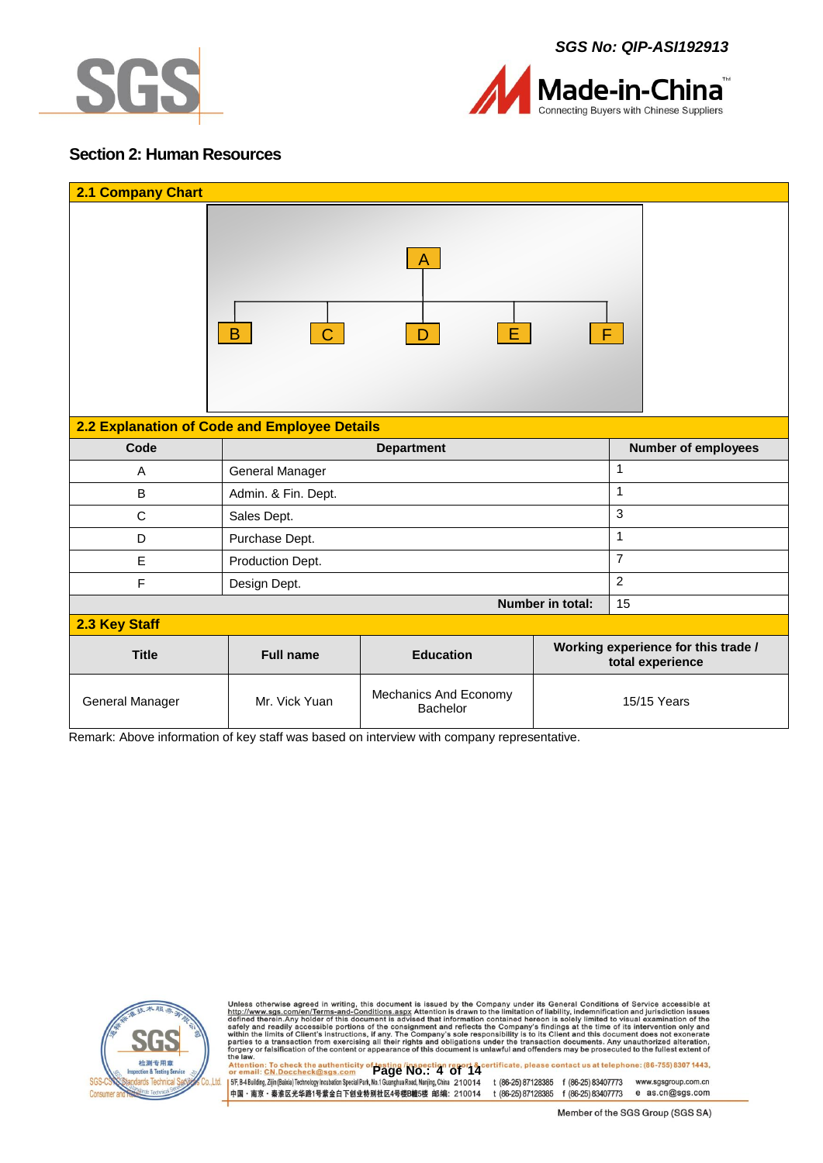



### <span id="page-3-0"></span>**Section 2: Human Resources**

| <b>2.1 Company Chart</b>                     |                                                 |                                   |              |                                                         |  |  |
|----------------------------------------------|-------------------------------------------------|-----------------------------------|--------------|---------------------------------------------------------|--|--|
|                                              | $\mid$ C $\mid$<br>$\mathsf B$                  | $\mathsf{A}$<br>E<br>D            | $\mathsf{F}$ |                                                         |  |  |
| 2.2 Explanation of Code and Employee Details |                                                 |                                   |              |                                                         |  |  |
| Code                                         | <b>Department</b><br><b>Number of employees</b> |                                   |              |                                                         |  |  |
| A                                            | 1<br>General Manager                            |                                   |              |                                                         |  |  |
| B                                            | $\mathbf{1}$<br>Admin. & Fin. Dept.             |                                   |              |                                                         |  |  |
| $\mathsf C$                                  | $\mathbf{3}$<br>Sales Dept.                     |                                   |              |                                                         |  |  |
| D                                            | 1<br>Purchase Dept.                             |                                   |              |                                                         |  |  |
| E                                            | $\overline{7}$<br>Production Dept.              |                                   |              |                                                         |  |  |
| F                                            | $\overline{2}$<br>Design Dept.                  |                                   |              |                                                         |  |  |
|                                              | Number in total:<br>15                          |                                   |              |                                                         |  |  |
| 2.3 Key Staff                                |                                                 |                                   |              |                                                         |  |  |
| <b>Title</b>                                 | <b>Full name</b>                                | <b>Education</b>                  |              | Working experience for this trade /<br>total experience |  |  |
| General Manager                              | Mr. Vick Yuan                                   | Mechanics And Economy<br>Bachelor |              | 15/15 Years                                             |  |  |

Remark: Above information of key staff was based on interview with company representative.



Unless otherwise agreed in writing, this document is issued by the Company under its General Conditions of Service accessible at http://www.sgs.com/en/Terms-and-Conditions.aspx Attention is drawn to the limitation of liabi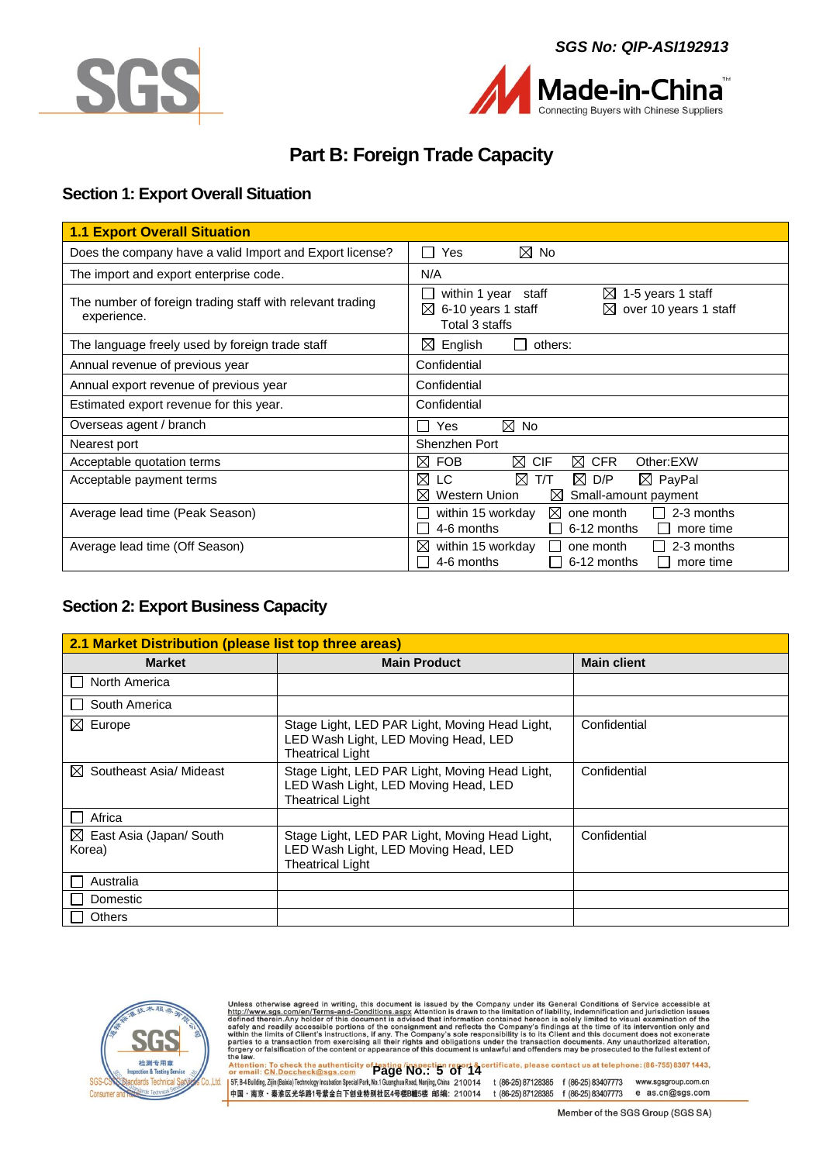



# **Part B: Foreign Trade Capacity**

### <span id="page-4-1"></span><span id="page-4-0"></span>**Section 1: Export Overall Situation**

| <b>1.1 Export Overall Situation</b>                                      |                                                                                                                                                |
|--------------------------------------------------------------------------|------------------------------------------------------------------------------------------------------------------------------------------------|
| Does the company have a valid Import and Export license?                 | $\boxtimes$ No<br>Yes                                                                                                                          |
| The import and export enterprise code.                                   | N/A                                                                                                                                            |
| The number of foreign trading staff with relevant trading<br>experience. | within 1 year staff<br>$\bowtie$<br>1-5 years 1 staff<br>$\boxtimes$ 6-10 years 1 staff<br>$\boxtimes$ over 10 years 1 staff<br>Total 3 staffs |
| The language freely used by foreign trade staff                          | English<br>others:<br>$\bowtie$<br>l a                                                                                                         |
| Annual revenue of previous year                                          | Confidential                                                                                                                                   |
| Annual export revenue of previous year                                   | Confidential                                                                                                                                   |
| Estimated export revenue for this year.                                  | Confidential                                                                                                                                   |
| Overseas agent / branch                                                  | $\boxtimes$ No<br>Yes                                                                                                                          |
| Nearest port                                                             | Shenzhen Port                                                                                                                                  |
| Acceptable quotation terms                                               | $\boxtimes$<br><b>CIF</b><br>⊠<br>⊠<br><b>FOB</b><br><b>CFR</b><br>Other:EXW                                                                   |
| Acceptable payment terms                                                 | ⊠<br>⊠<br>⊠<br>LC<br>T/T<br>D/P<br>$\boxtimes$ PayPal<br>⊠<br>Western Union<br>Small-amount payment<br>⊠                                       |
| Average lead time (Peak Season)                                          | ⊠<br>2-3 months<br>within 15 workday<br>one month<br>$\mathbf{I}$<br>4-6 months<br>6-12 months<br>more time                                    |
| Average lead time (Off Season)                                           | within 15 workday<br>2-3 months<br>one month<br>⊠<br>4-6 months<br>6-12 months<br>more time                                                    |

### <span id="page-4-2"></span>**Section 2: Export Business Capacity**

| 2.1 Market Distribution (please list top three areas) |                                                                                                                   |                    |  |  |
|-------------------------------------------------------|-------------------------------------------------------------------------------------------------------------------|--------------------|--|--|
| <b>Market</b>                                         | <b>Main Product</b>                                                                                               | <b>Main client</b> |  |  |
| North America                                         |                                                                                                                   |                    |  |  |
| South America                                         |                                                                                                                   |                    |  |  |
| $\boxtimes$ Europe                                    | Stage Light, LED PAR Light, Moving Head Light,<br>LED Wash Light, LED Moving Head, LED<br><b>Theatrical Light</b> | Confidential       |  |  |
| Southeast Asia/ Mideast<br>M                          | Stage Light, LED PAR Light, Moving Head Light,<br>LED Wash Light, LED Moving Head, LED<br><b>Theatrical Light</b> | Confidential       |  |  |
| Africa                                                |                                                                                                                   |                    |  |  |
| $\boxtimes$ East Asia (Japan/ South<br>Korea)         | Stage Light, LED PAR Light, Moving Head Light,<br>LED Wash Light, LED Moving Head, LED<br><b>Theatrical Light</b> | Confidential       |  |  |
| Australia                                             |                                                                                                                   |                    |  |  |
| Domestic                                              |                                                                                                                   |                    |  |  |
| <b>Others</b>                                         |                                                                                                                   |                    |  |  |



Unless otherwise agreed in writing, this document is issued by the Company under its General Conditions of Service accessible at http://www.sgs.com/en/Terms-and-Conditions.aspx Attention is drawn to the limitation of liabi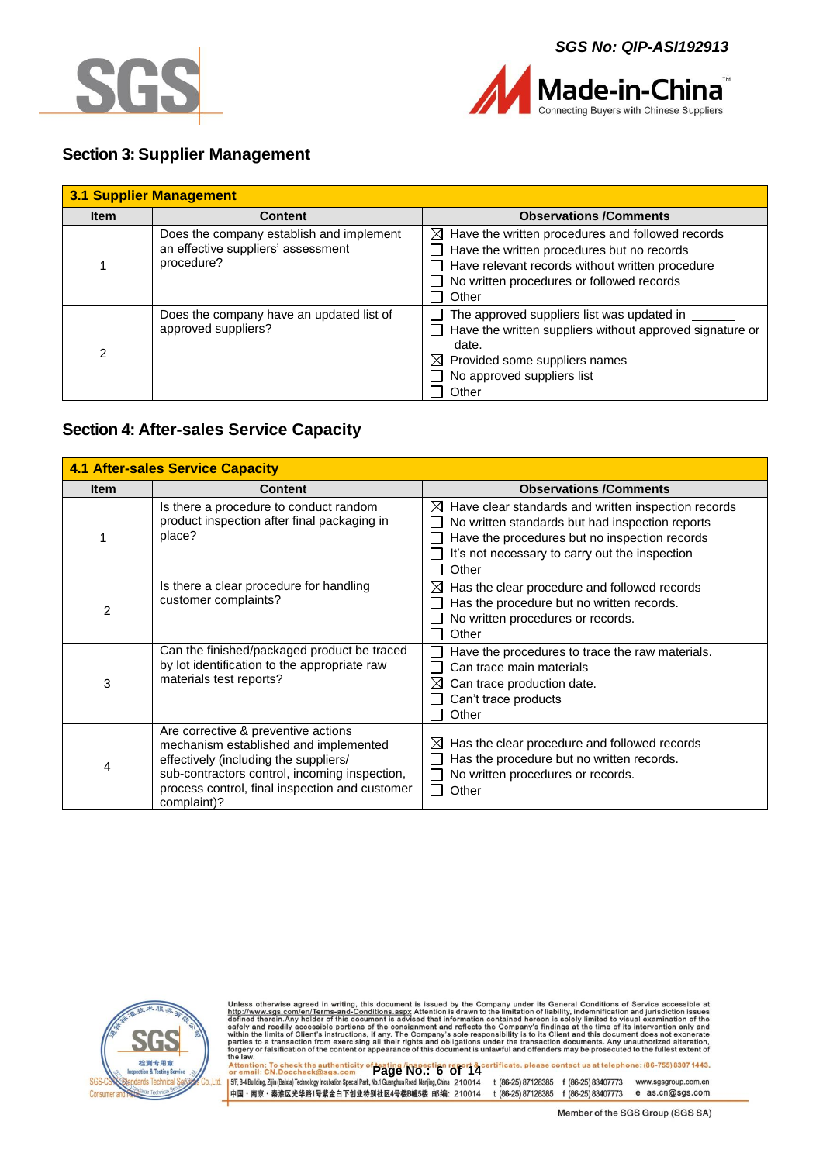



### <span id="page-5-0"></span>**Section 3: Supplier Management**

| <b>3.1 Supplier Management</b> |                                                                                              |                                                                                                                                                                                                                            |  |  |  |
|--------------------------------|----------------------------------------------------------------------------------------------|----------------------------------------------------------------------------------------------------------------------------------------------------------------------------------------------------------------------------|--|--|--|
| <b>Item</b>                    | <b>Content</b>                                                                               | <b>Observations /Comments</b>                                                                                                                                                                                              |  |  |  |
|                                | Does the company establish and implement<br>an effective suppliers' assessment<br>procedure? | $\boxtimes$ Have the written procedures and followed records<br>Have the written procedures but no records<br>Have relevant records without written procedure<br>$\Box$ No written procedures or followed records<br>Other |  |  |  |
| 2                              | Does the company have an updated list of<br>approved suppliers?                              | The approved suppliers list was updated in<br>Have the written suppliers without approved signature or<br>date.<br>$\boxtimes$ Provided some suppliers names<br>$\Box$ No approved suppliers list<br>Other                 |  |  |  |

### <span id="page-5-1"></span>**Section 4: After-sales Service Capacity**

| <b>4.1 After-sales Service Capacity</b> |                                                                                                                                                                                                                                         |                                                                                                                                                                                                                                 |  |  |  |
|-----------------------------------------|-----------------------------------------------------------------------------------------------------------------------------------------------------------------------------------------------------------------------------------------|---------------------------------------------------------------------------------------------------------------------------------------------------------------------------------------------------------------------------------|--|--|--|
| <b>Item</b>                             | <b>Content</b>                                                                                                                                                                                                                          | <b>Observations /Comments</b>                                                                                                                                                                                                   |  |  |  |
|                                         | Is there a procedure to conduct random<br>product inspection after final packaging in<br>place?                                                                                                                                         | Have clear standards and written inspection records<br>$\bowtie$<br>No written standards but had inspection reports<br>Have the procedures but no inspection records<br>It's not necessary to carry out the inspection<br>Other |  |  |  |
| $\overline{2}$                          | Is there a clear procedure for handling<br>customer complaints?                                                                                                                                                                         | Has the clear procedure and followed records<br>⊠<br>Has the procedure but no written records.<br>No written procedures or records.<br>Other                                                                                    |  |  |  |
| 3                                       | Can the finished/packaged product be traced<br>by lot identification to the appropriate raw<br>materials test reports?                                                                                                                  | Have the procedures to trace the raw materials.<br>Can trace main materials<br>Can trace production date.<br>⊠<br>Can't trace products<br>Other                                                                                 |  |  |  |
| 4                                       | Are corrective & preventive actions<br>mechanism established and implemented<br>effectively (including the suppliers/<br>sub-contractors control, incoming inspection,<br>process control, final inspection and customer<br>complaint)? | Has the clear procedure and followed records<br>⊠<br>Has the procedure but no written records.<br>No written procedures or records.<br>Other                                                                                    |  |  |  |



Unless otherwise agreed in writing, this document is issued by the Company under its General Conditions of Service accessible at http://www.sgs.com/en/Terms-and-Conditions.aspx Attention is drawn to the limitation of liabi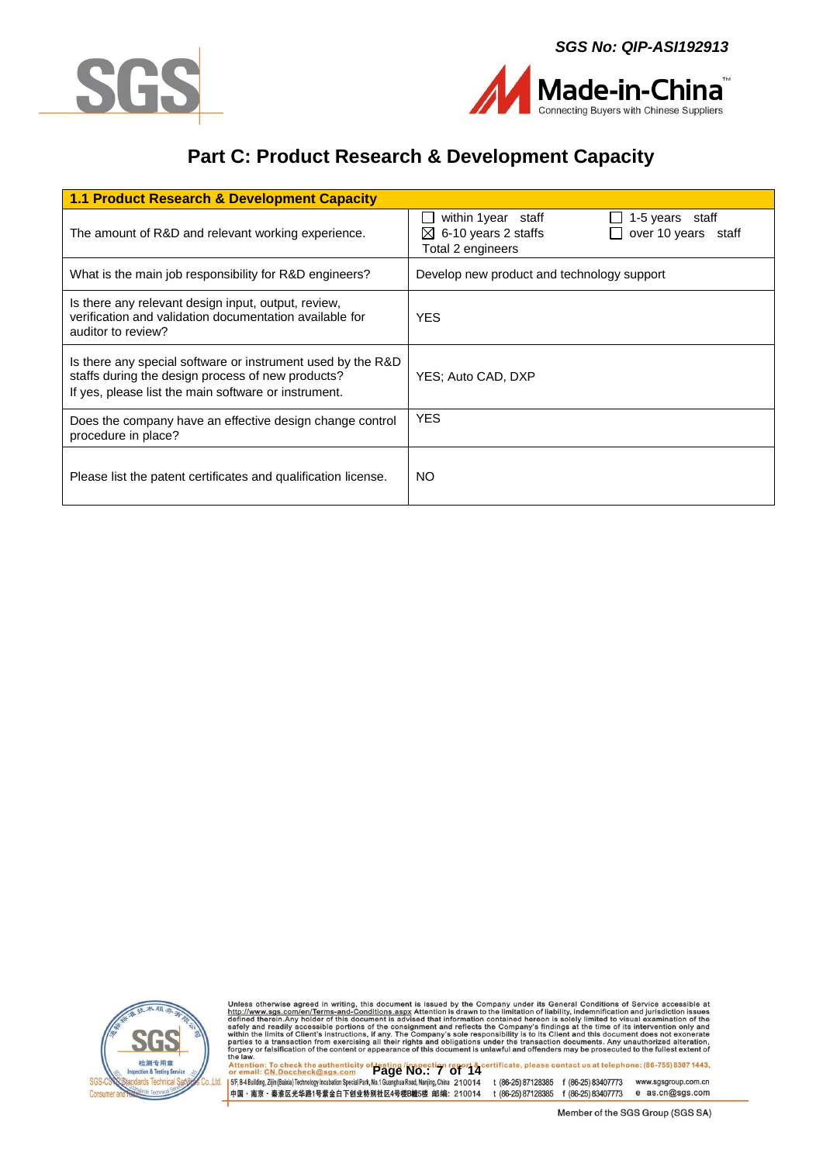



Made-in-China nnecting Buyers with Chinese Suppliers

# **Part C: Product Research & Development Capacity**

<span id="page-6-0"></span>

| 1.1 Product Research & Development Capacity                                                                                                                              |                                                                                                                       |  |  |  |  |
|--------------------------------------------------------------------------------------------------------------------------------------------------------------------------|-----------------------------------------------------------------------------------------------------------------------|--|--|--|--|
| The amount of R&D and relevant working experience.                                                                                                                       | within 1year staff<br>1-5 years staff<br>6-10 years 2 staffs<br>over 10 years staff<br>$\bowtie$<br>Total 2 engineers |  |  |  |  |
| What is the main job responsibility for R&D engineers?                                                                                                                   | Develop new product and technology support                                                                            |  |  |  |  |
| Is there any relevant design input, output, review,<br>verification and validation documentation available for<br>auditor to review?                                     | <b>YES</b>                                                                                                            |  |  |  |  |
| Is there any special software or instrument used by the R&D<br>staffs during the design process of new products?<br>If yes, please list the main software or instrument. | YES; Auto CAD, DXP                                                                                                    |  |  |  |  |
| Does the company have an effective design change control<br>procedure in place?                                                                                          | <b>YES</b>                                                                                                            |  |  |  |  |
| Please list the patent certificates and qualification license.                                                                                                           | NO.                                                                                                                   |  |  |  |  |



Unless otherwise agreed in writing, this document is issued by the Company under its General Conditions of Service accessible at http://www.sgs.com/en/Terms-and-Conditions.aspx Attention is drawn to the limitation of liabi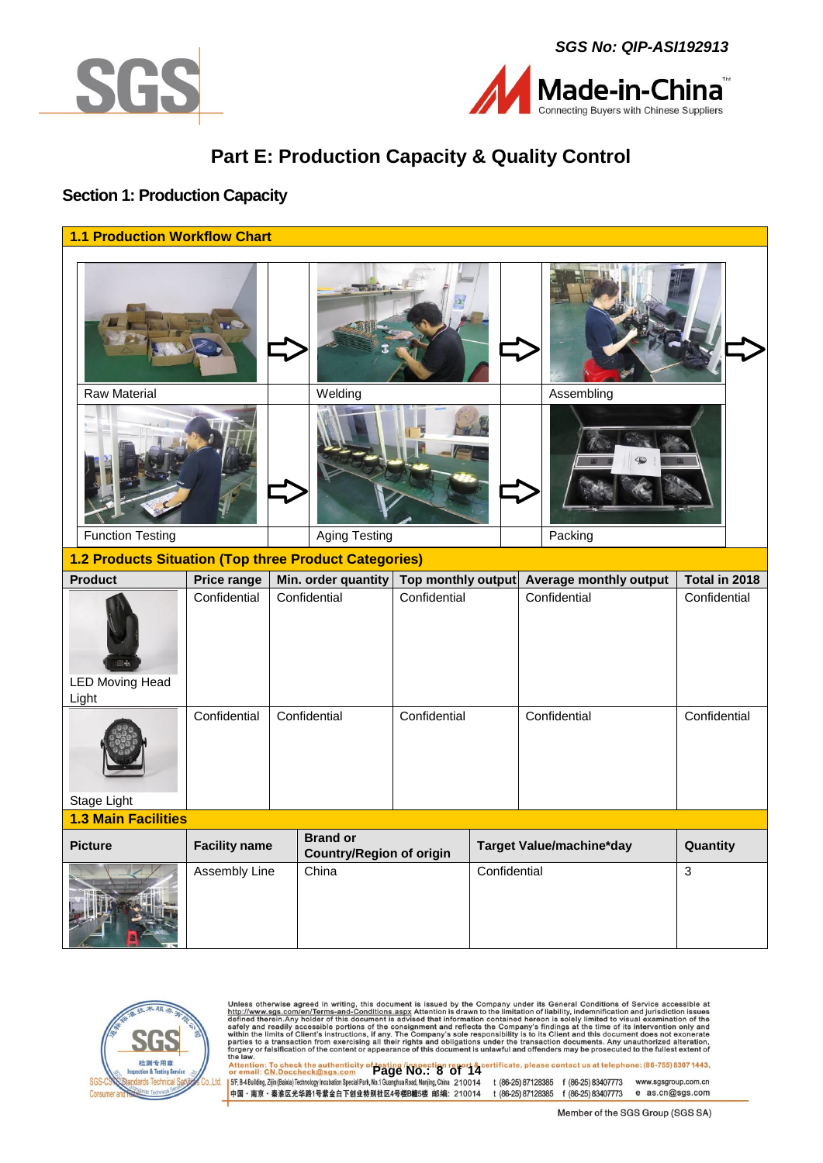





# **Part E: Production Capacity & Quality Control**

### <span id="page-7-1"></span><span id="page-7-0"></span>**Section 1: Production Capacity**

### **1.1 Production Workflow Chart**

| <b>Raw Material</b><br><b>Function Testing</b> |                                    | Welding<br><b>Aging Testing</b>                       |                                    |              | Assembling<br>Packing                  |                               |  |
|------------------------------------------------|------------------------------------|-------------------------------------------------------|------------------------------------|--------------|----------------------------------------|-------------------------------|--|
|                                                |                                    | 1.2 Products Situation (Top three Product Categories) |                                    |              |                                        |                               |  |
| <b>Product</b>                                 | <b>Price range</b><br>Confidential | Min. order quantity<br>Confidential                   | Top monthly output<br>Confidential |              | Average monthly output<br>Confidential | Total in 2018<br>Confidential |  |
| <b>LED Moving Head</b><br>Light                |                                    |                                                       |                                    |              |                                        |                               |  |
| Confidential                                   |                                    | Confidential                                          | Confidential                       |              | Confidential                           | Confidential                  |  |
| Stage Light                                    |                                    |                                                       |                                    |              |                                        |                               |  |
|                                                | <b>1.3 Main Facilities</b>         |                                                       |                                    |              |                                        |                               |  |
| <b>Picture</b>                                 | <b>Facility name</b>               | <b>Brand or</b><br><b>Country/Region of origin</b>    |                                    |              | Target Value/machine*day               | Quantity                      |  |
|                                                | Assembly Line                      | China                                                 |                                    | Confidential |                                        | $\mathbf{3}$                  |  |



Unless otherwise agreed in writing, this document is issued by the Company under its General Conditions of Service accessible at http://www.sgs.com/en/Terms-and-Conditions.aspx Attention is drawn to the limitation of liabi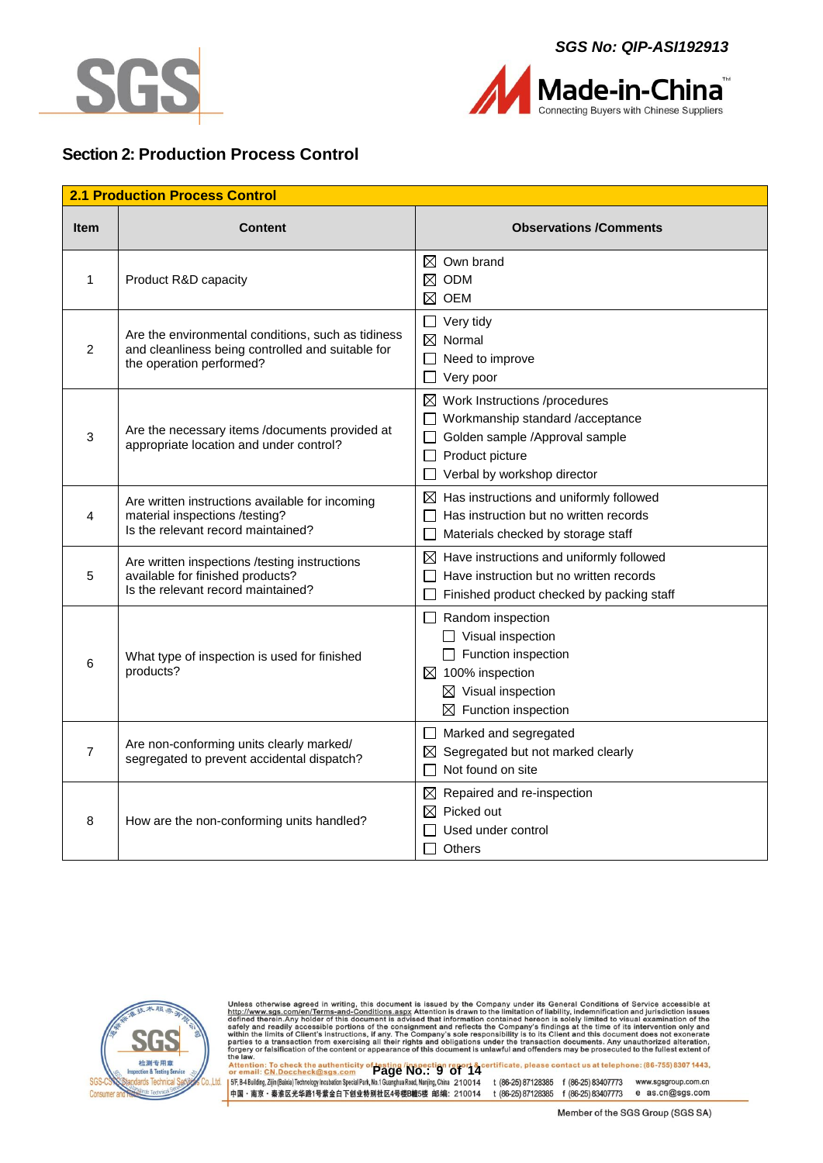



### <span id="page-8-0"></span>**Section 2: Production Process Control**

| <b>2.1 Production Process Control</b> |                                                                                                                                     |                                                                                                                                                                                       |  |  |
|---------------------------------------|-------------------------------------------------------------------------------------------------------------------------------------|---------------------------------------------------------------------------------------------------------------------------------------------------------------------------------------|--|--|
| <b>Item</b>                           | <b>Content</b>                                                                                                                      | <b>Observations /Comments</b>                                                                                                                                                         |  |  |
| 1                                     | Product R&D capacity                                                                                                                | $\boxtimes$ Own brand<br>$\boxtimes$ ODM<br>$\boxtimes$ OEM                                                                                                                           |  |  |
| $\overline{2}$                        | Are the environmental conditions, such as tidiness<br>and cleanliness being controlled and suitable for<br>the operation performed? | $\Box$ Very tidy<br>$\boxtimes$ Normal<br>$\Box$ Need to improve<br>$\Box$ Very poor                                                                                                  |  |  |
| 3                                     | Are the necessary items /documents provided at<br>appropriate location and under control?                                           | $\boxtimes$ Work Instructions /procedures<br>$\Box$ Workmanship standard /acceptance<br>Golden sample / Approval sample<br>$\Box$ Product picture<br>Verbal by workshop director      |  |  |
| 4                                     | Are written instructions available for incoming<br>material inspections /testing?<br>Is the relevant record maintained?             | $\boxtimes$ Has instructions and uniformly followed<br>Has instruction but no written records<br>Materials checked by storage staff                                                   |  |  |
| 5                                     | Are written inspections /testing instructions<br>available for finished products?<br>Is the relevant record maintained?             | $\boxtimes$ Have instructions and uniformly followed<br>Have instruction but no written records<br>Finished product checked by packing staff                                          |  |  |
| 6                                     | What type of inspection is used for finished<br>products?                                                                           | $\Box$ Random inspection<br>$\Box$ Visual inspection<br>$\Box$ Function inspection<br>$\boxtimes$ 100% inspection<br>$\boxtimes$ Visual inspection<br>$\boxtimes$ Function inspection |  |  |
| $\overline{7}$                        | Are non-conforming units clearly marked/<br>segregated to prevent accidental dispatch?                                              | $\Box$ Marked and segregated<br>$\boxtimes$ Segregated but not marked clearly<br>Not found on site                                                                                    |  |  |
| 8                                     | How are the non-conforming units handled?                                                                                           | $\boxtimes$ Repaired and re-inspection<br>$\boxtimes$ Picked out<br>Used under control<br><b>Others</b>                                                                               |  |  |



Unless otherwise agreed in writing, this document is issued by the Company under its General Conditions of Service accessible at http://www.sgs.com/en/Terms-and-Conditions.aspx Attention is drawn to the limitation of liabi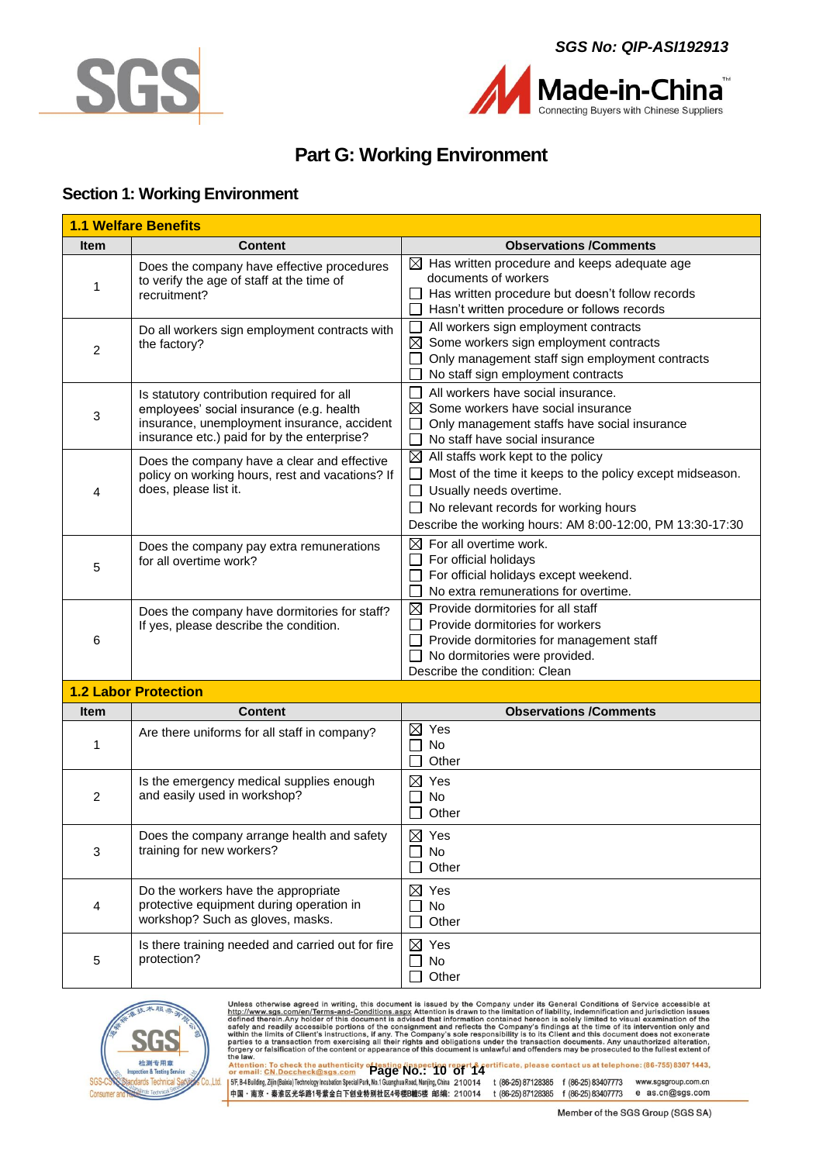



## **Part G: Working Environment**

### <span id="page-9-1"></span><span id="page-9-0"></span>**Section 1: Working Environment**

| <b>1.1 Welfare Benefits</b> |                                                                                                                                                                                      |                                                                                                                                                                                                                                                            |  |
|-----------------------------|--------------------------------------------------------------------------------------------------------------------------------------------------------------------------------------|------------------------------------------------------------------------------------------------------------------------------------------------------------------------------------------------------------------------------------------------------------|--|
| <b>Item</b>                 | <b>Content</b>                                                                                                                                                                       | <b>Observations /Comments</b>                                                                                                                                                                                                                              |  |
| 1                           | Does the company have effective procedures<br>to verify the age of staff at the time of<br>recruitment?                                                                              | $\boxtimes$ Has written procedure and keeps adequate age<br>documents of workers<br>Has written procedure but doesn't follow records<br>Hasn't written procedure or follows records                                                                        |  |
| 2                           | Do all workers sign employment contracts with<br>the factory?                                                                                                                        | All workers sign employment contracts<br>$\boxtimes$ Some workers sign employment contracts<br>Only management staff sign employment contracts<br>No staff sign employment contracts                                                                       |  |
| 3                           | Is statutory contribution required for all<br>employees' social insurance (e.g. health<br>insurance, unemployment insurance, accident<br>insurance etc.) paid for by the enterprise? | All workers have social insurance.<br>$\boxtimes$ Some workers have social insurance<br>Only management staffs have social insurance<br>No staff have social insurance                                                                                     |  |
| 4                           | Does the company have a clear and effective<br>policy on working hours, rest and vacations? If<br>does, please list it.                                                              | $\boxtimes$ All staffs work kept to the policy<br>Most of the time it keeps to the policy except midseason.<br>$\Box$ Usually needs overtime.<br>$\Box$ No relevant records for working hours<br>Describe the working hours: AM 8:00-12:00, PM 13:30-17:30 |  |
| 5                           | Does the company pay extra remunerations<br>for all overtime work?                                                                                                                   | $\boxtimes$ For all overtime work.<br>For official holidays<br>For official holidays except weekend.<br>No extra remunerations for overtime.                                                                                                               |  |
| 6                           | Does the company have dormitories for staff?<br>If yes, please describe the condition.                                                                                               | $\boxtimes$ Provide dormitories for all staff<br>Provide dormitories for workers<br>$\Box$ Provide dormitories for management staff<br>No dormitories were provided.<br>Describe the condition: Clean                                                      |  |
|                             | <b>1.2 Labor Protection</b>                                                                                                                                                          |                                                                                                                                                                                                                                                            |  |
| <b>Item</b>                 | <b>Content</b>                                                                                                                                                                       | <b>Observations /Comments</b>                                                                                                                                                                                                                              |  |
| 1                           | Are there uniforms for all staff in company?                                                                                                                                         | $\boxtimes$ Yes<br>No<br>Other                                                                                                                                                                                                                             |  |
| 2                           | Is the emergency medical supplies enough<br>and easily used in workshop?                                                                                                             | $\boxtimes$ Yes<br>No<br>Other                                                                                                                                                                                                                             |  |
| 3                           | Does the company arrange health and safety<br>training for new workers?                                                                                                              | $\boxtimes$ Yes<br>No<br>Other                                                                                                                                                                                                                             |  |
| 4                           | Do the workers have the appropriate<br>protective equipment during operation in<br>workshop? Such as gloves, masks.                                                                  | $\boxtimes$ Yes<br>No<br>Other                                                                                                                                                                                                                             |  |
| 5                           | Is there training needed and carried out for fire<br>protection?                                                                                                                     | $\boxtimes$ Yes<br>No<br>Other                                                                                                                                                                                                                             |  |



Unless otherwise agreed in writing, this document is issued by the Company under its General Conditions of Service accessible at http://www.sgs.com/en/Terms-and-Conditions.aspx Attention is drawn to the limitation of liabi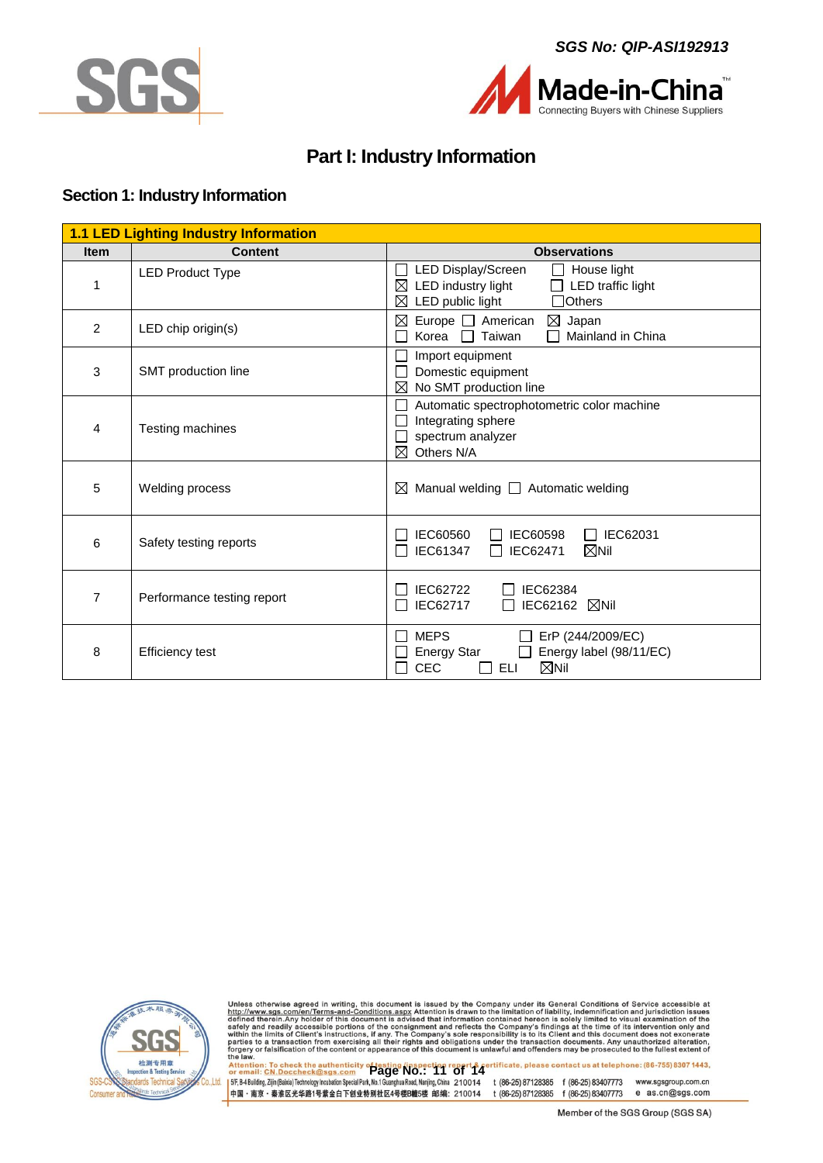



### **Part I: Industry Information**

### <span id="page-10-1"></span><span id="page-10-0"></span>**Section 1: Industry Information**

| <b>1.1 LED Lighting Industry Information</b> |                            |                                                                                                                                                         |  |
|----------------------------------------------|----------------------------|---------------------------------------------------------------------------------------------------------------------------------------------------------|--|
| <b>Item</b>                                  | <b>Content</b>             | <b>Observations</b>                                                                                                                                     |  |
| 1                                            | <b>LED Product Type</b>    | LED Display/Screen<br>House light<br>$\perp$<br>$\mathsf{L}$<br>⊠<br>LED industry light<br>LED traffic light<br>LED public light<br>⊠<br><b>TOthers</b> |  |
| 2                                            | LED chip origin(s)         | Europe $\Box$ American<br>$\boxtimes$ Japan<br>$\boxtimes$<br>Korea<br>$\Box$<br>Taiwan<br>Mainland in China<br>П                                       |  |
| 3                                            | SMT production line        | Import equipment<br>$\mathbf{L}$<br>Domestic equipment<br>П<br>No SMT production line<br>⊠                                                              |  |
| 4                                            | Testing machines           | Automatic spectrophotometric color machine<br>$\mathbf{L}$<br>Integrating sphere<br>$\Box$<br>spectrum analyzer<br>$\perp$<br>⊠<br>Others N/A           |  |
| 5                                            | <b>Welding process</b>     | Manual welding $\Box$ Automatic welding<br>⊠                                                                                                            |  |
| 6                                            | Safety testing reports     | IEC60560<br>$\Box$ IEC62031<br>IEC60598<br>$\mathsf{L}$<br>$\boxtimes$ Nil<br>IEC61347<br>IEC62471<br>П                                                 |  |
| 7                                            | Performance testing report | IEC62722<br>IEC62384<br>IEC62717<br>IEC62162 $\boxtimes$ Nil<br>П                                                                                       |  |
| 8                                            | <b>Efficiency test</b>     | <b>MEPS</b><br>ErP (244/2009/EC)<br>$\perp$<br>Energy label (98/11/EC)<br><b>Energy Star</b><br>CEC<br>$\boxtimes$ Nil<br>ELI<br>ΙI                     |  |



Unless otherwise agreed in writing, this document is issued by the Company under its General Conditions of Service accessible at http://www.sgs.com/en/Terms-and-Conditions.aspx Attention is drawn to the limitation of liabi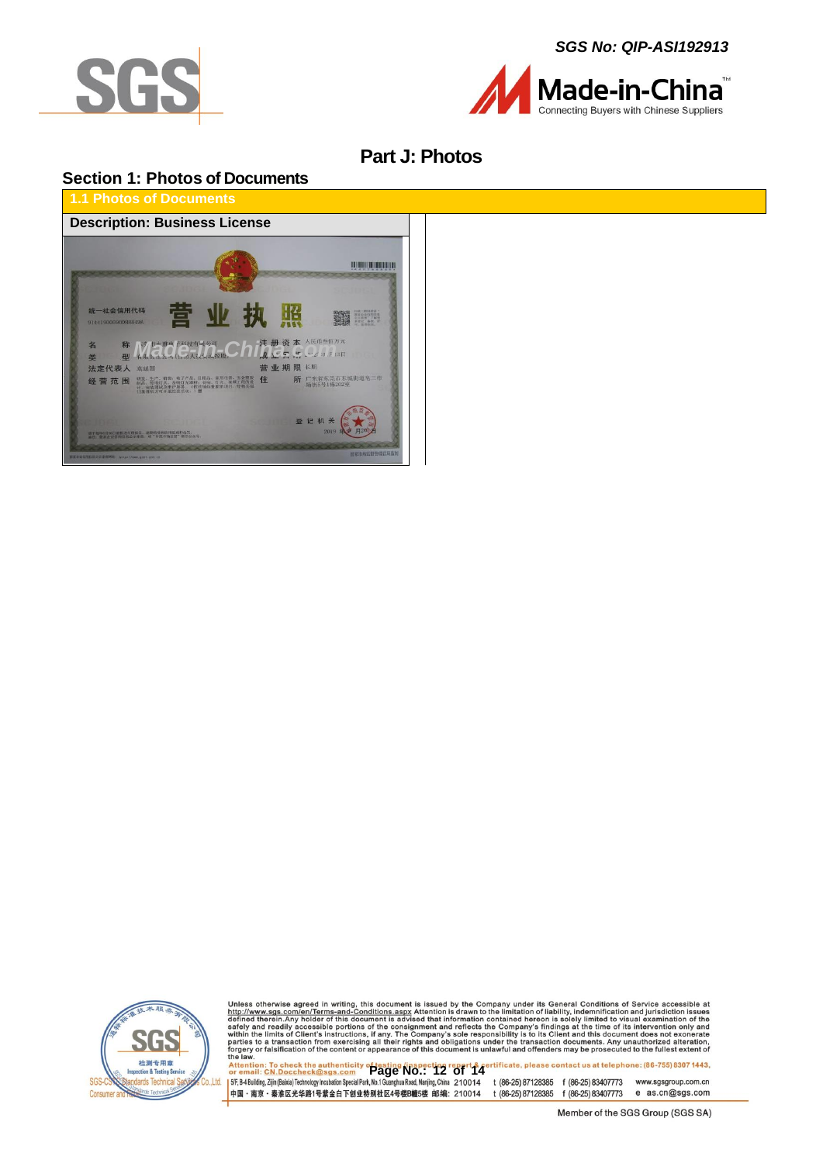





### **Part J: Photos**

### <span id="page-11-1"></span><span id="page-11-0"></span>**Section 1: Photos of Documents**





Unless otherwise agreed in writing, this document is issued by the Company under its General Conditions of Service accessible at http://www.sgs.com/en/Terms-and-Conditions.aspx Attention is drawn to the limitation of liabi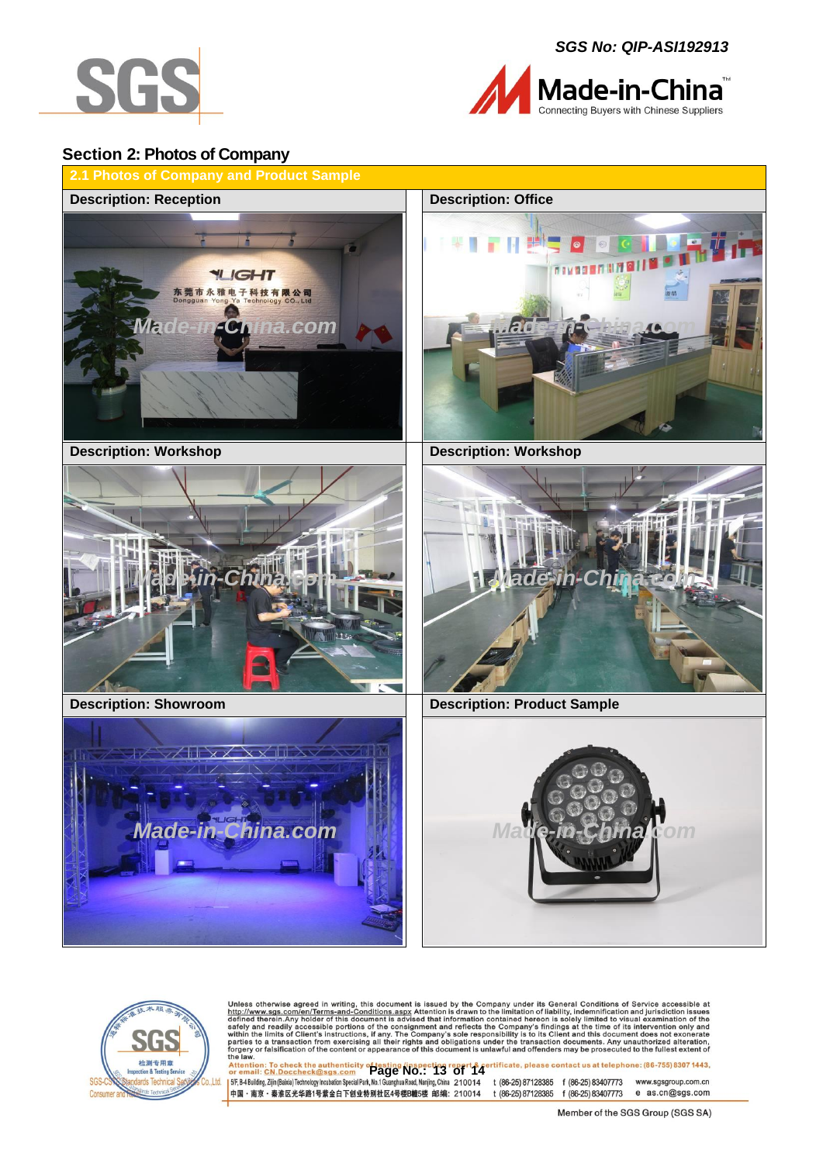

*SGS No: QIP-ASI192913*



### <span id="page-12-0"></span>**Section 2: Photos of Company**

**2.1 Photos of Company and Product Sample Description: Reception Description: Office YLIGHT** 东莞市永雅电子科技有限公司 *Made-in-China.com* **Made-in-China.com Description: Workshop Description: Workshop** *Made-in-China.com Made-in-China.com* **Description: Showroom <b>Description: Product Sample** *Made-in-China.com Made-in-China.com*



Unless otherwise agreed in writing, this document is issued by the Company under its General Conditions of Service accessible at http://www.sgs.com/en/Terms-and-Conditions.aspx Attention is drawn to the limitation of liabi